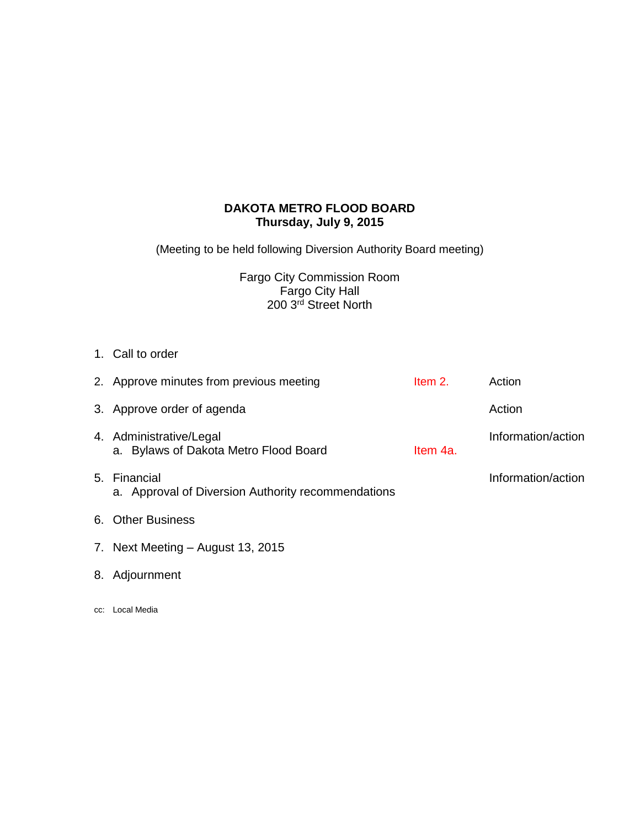# **DAKOTA METRO FLOOD BOARD Thursday, July 9, 2015**

(Meeting to be held following Diversion Authority Board meeting)

Fargo City Commission Room Fargo City Hall 200 3rd Street North

1. Call to order

| 2. Approve minutes from previous meeting                           | Item 2.  | Action             |
|--------------------------------------------------------------------|----------|--------------------|
| 3. Approve order of agenda                                         |          | Action             |
| 4. Administrative/Legal<br>a. Bylaws of Dakota Metro Flood Board   | Item 4a. | Information/action |
| 5. Financial<br>a. Approval of Diversion Authority recommendations |          | Information/action |
| 6. Other Business                                                  |          |                    |

- 7. Next Meeting August 13, 2015
- 8. Adjournment
- cc: Local Media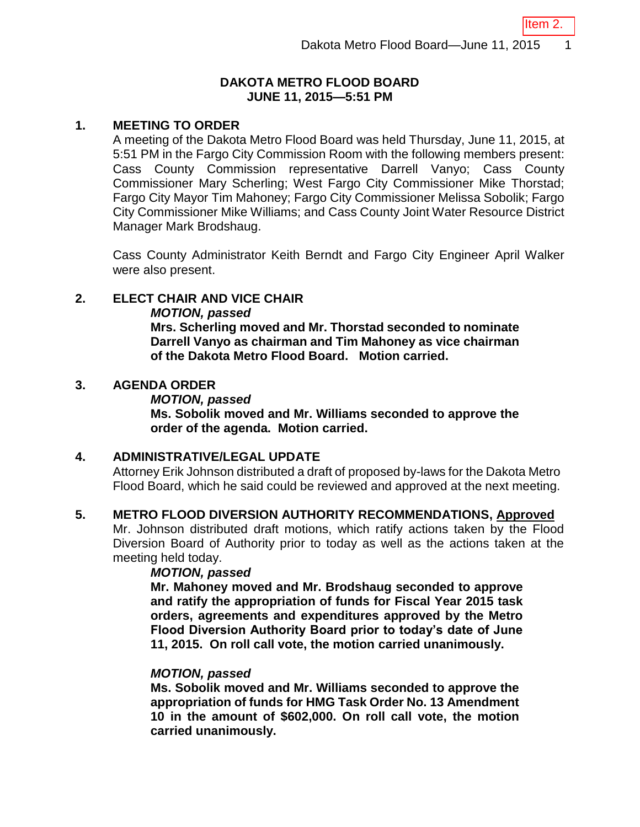Item 2.

# **DAKOTA METRO FLOOD BOARD JUNE 11, 2015—5:51 PM**

## **1. MEETING TO ORDER**

A meeting of the Dakota Metro Flood Board was held Thursday, June 11, 2015, at 5:51 PM in the Fargo City Commission Room with the following members present: Cass County Commission representative Darrell Vanyo; Cass County Commissioner Mary Scherling; West Fargo City Commissioner Mike Thorstad; Fargo City Mayor Tim Mahoney; Fargo City Commissioner Melissa Sobolik; Fargo City Commissioner Mike Williams; and Cass County Joint Water Resource District Manager Mark Brodshaug.

Cass County Administrator Keith Berndt and Fargo City Engineer April Walker were also present.

# **2. ELECT CHAIR AND VICE CHAIR**

## *MOTION, passed*

**Mrs. Scherling moved and Mr. Thorstad seconded to nominate Darrell Vanyo as chairman and Tim Mahoney as vice chairman of the Dakota Metro Flood Board. Motion carried.**

# **3. AGENDA ORDER**

## *MOTION, passed* **Ms. Sobolik moved and Mr. Williams seconded to approve the order of the agenda. Motion carried.**

## **4. ADMINISTRATIVE/LEGAL UPDATE**

Attorney Erik Johnson distributed a draft of proposed by-laws for the Dakota Metro Flood Board, which he said could be reviewed and approved at the next meeting.

## **5. METRO FLOOD DIVERSION AUTHORITY RECOMMENDATIONS, Approved**

Mr. Johnson distributed draft motions, which ratify actions taken by the Flood Diversion Board of Authority prior to today as well as the actions taken at the meeting held today.

# *MOTION, passed*

**Mr. Mahoney moved and Mr. Brodshaug seconded to approve and ratify the appropriation of funds for Fiscal Year 2015 task orders, agreements and expenditures approved by the Metro Flood Diversion Authority Board prior to today's date of June 11, 2015. On roll call vote, the motion carried unanimously.** 

## *MOTION, passed*

**Ms. Sobolik moved and Mr. Williams seconded to approve the appropriation of funds for HMG Task Order No. 13 Amendment 10 in the amount of \$602,000. On roll call vote, the motion carried unanimously.**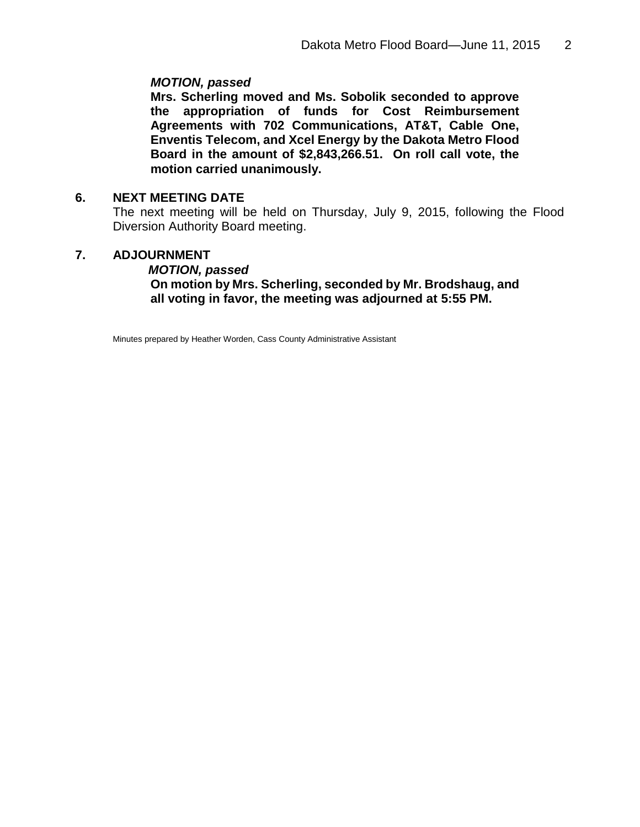# *MOTION, passed*

**Mrs. Scherling moved and Ms. Sobolik seconded to approve the appropriation of funds for Cost Reimbursement Agreements with 702 Communications, AT&T, Cable One, Enventis Telecom, and Xcel Energy by the Dakota Metro Flood Board in the amount of \$2,843,266.51. On roll call vote, the motion carried unanimously.** 

# **6. NEXT MEETING DATE**

The next meeting will be held on Thursday, July 9, 2015, following the Flood Diversion Authority Board meeting.

# **7. ADJOURNMENT**

*MOTION, passed* **On motion by Mrs. Scherling, seconded by Mr. Brodshaug, and all voting in favor, the meeting was adjourned at 5:55 PM.**

Minutes prepared by Heather Worden, Cass County Administrative Assistant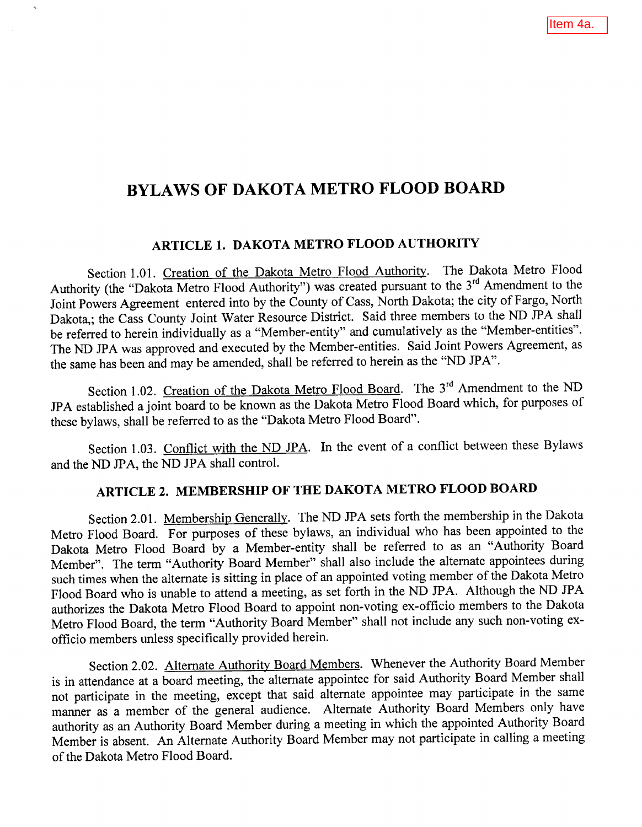# **BYLAWS OF DAKOTA METRO FLOOD BOARD**

# ARTICLE 1. DAKOTA METRO FLOOD AUTHORITY

Section 1.01. Creation of the Dakota Metro Flood Authority. The Dakota Metro Flood Authority (the "Dakota Metro Flood Authority") was created pursuant to the 3<sup>rd</sup> Amendment to the Joint Powers Agreement entered into by the County of Cass, North Dakota; the city of Fargo, North Dakota,; the Cass County Joint Water Resource District. Said three members to the ND JPA shall be referred to herein individually as a "Member-entity" and cumulatively as the "Member-entities". The ND JPA was approved and executed by the Member-entities. Said Joint Powers Agreement, as the same has been and may be amended, shall be referred to herein as the "ND JPA".

Section 1.02. Creation of the Dakota Metro Flood Board. The 3<sup>rd</sup> Amendment to the ND JPA established a joint board to be known as the Dakota Metro Flood Board which, for purposes of these bylaws, shall be referred to as the "Dakota Metro Flood Board".

Section 1.03. Conflict with the ND JPA. In the event of a conflict between these Bylaws and the ND JPA, the ND JPA shall control.

# ARTICLE 2. MEMBERSHIP OF THE DAKOTA METRO FLOOD BOARD

Section 2.01. Membership Generally. The ND JPA sets forth the membership in the Dakota Metro Flood Board. For purposes of these bylaws, an individual who has been appointed to the Dakota Metro Flood Board by a Member-entity shall be referred to as an "Authority Board Member". The term "Authority Board Member" shall also include the alternate appointees during such times when the alternate is sitting in place of an appointed voting member of the Dakota Metro Flood Board who is unable to attend a meeting, as set forth in the ND JPA. Although the ND JPA authorizes the Dakota Metro Flood Board to appoint non-voting ex-officio members to the Dakota Metro Flood Board, the term "Authority Board Member" shall not include any such non-voting exofficio members unless specifically provided herein.

Section 2.02. Alternate Authority Board Members. Whenever the Authority Board Member is in attendance at a board meeting, the alternate appointee for said Authority Board Member shall not participate in the meeting, except that said alternate appointee may participate in the same manner as a member of the general audience. Alternate Authority Board Members only have authority as an Authority Board Member during a meeting in which the appointed Authority Board Member is absent. An Alternate Authority Board Member may not participate in calling a meeting of the Dakota Metro Flood Board.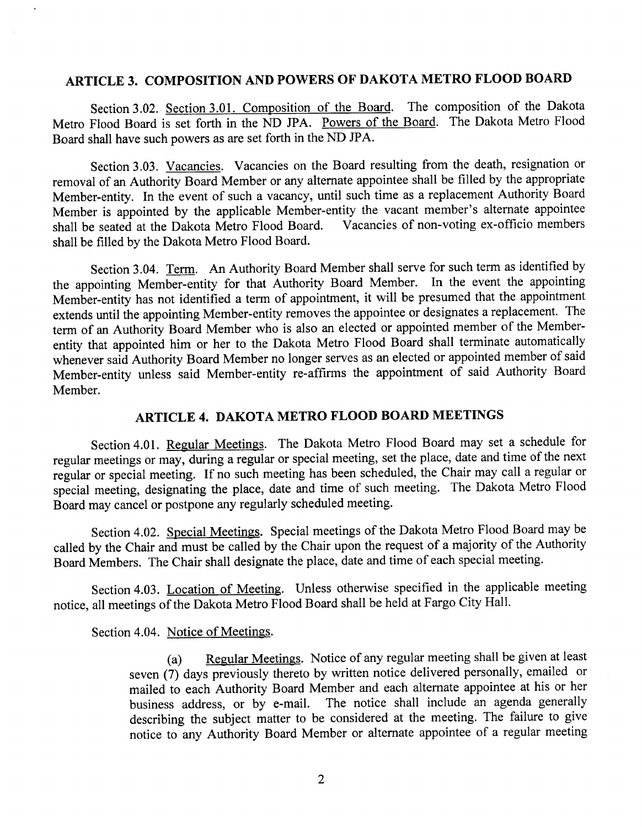# ARTICLE 3. COMPOSITION AND POWERS OF DAKOTA METRO FLOOD BOARD

Section 3.02. Section 3.01. Composition of the Board. The composition of the Dakota Metro Flood Board is set forth in the ND JPA. Powers of the Board. The Dakota Metro Flood Board shall have such powers as are set forth in the ND JPA.

Section 3.03. Vacancies. Vacancies on the Board resulting from the death, resignation or removal of an Authority Board Member or any alternate appointee shall be filled by the appropriate Member-entity. In the event of such a vacancy, until such time as a replacement Authority Board Member is appointed by the applicable Member-entity the vacant member's alternate appointee shall be seated at the Dakota Metro Flood Board. Vacancies of non-voting ex-officio members shall be filled by the Dakota Metro Flood Board.

Section 3.04. Term. An Authority Board Member shall serve for such term as identified by the appointing Member-entity for that Authority Board Member. In the event the appointing Member-entity has not identified a term of appointment, it will be presumed that the appointment extends until the appointing Member-entity removes the appointee or designates a replacement. The term of an Authority Board Member who is also an elected or appointed member of the Memberentity that appointed him or her to the Dakota Metro Flood Board shall terminate automatically whenever said Authority Board Member no longer serves as an elected or appointed member of said Member-entity unless said Member-entity re-affirms the appointment of said Authority Board Member.

# ARTICLE 4. DAKOTA METRO FLOOD BOARD MEETINGS

Section 4.01. Regular Meetings. The Dakota Metro Flood Board may set a schedule for regular meetings or may, during a regular or special meeting, set the place, date and time of the next regular or special meeting. If no such meeting has been scheduled, the Chair may call a regular or special meeting, designating the place, date and time of such meeting. The Dakota Metro Flood Board may cancel or postpone any regularly scheduled meeting.

Section 4.02. Special Meetings. Special meetings of the Dakota Metro Flood Board may be called by the Chair and must be called by the Chair upon the request of a majority of the Authority Board Members. The Chair shall designate the place, date and time of each special meeting.

Section 4.03. Location of Meeting. Unless otherwise specified in the applicable meeting notice, all meetings of the Dakota Metro Flood Board shall be held at Fargo City Hall.

Section 4.04. Notice of Meetings.

Regular Meetings. Notice of any regular meeting shall be given at least  $(a)$ seven (7) days previously thereto by written notice delivered personally, emailed or mailed to each Authority Board Member and each alternate appointee at his or her business address, or by e-mail. The notice shall include an agenda generally describing the subject matter to be considered at the meeting. The failure to give notice to any Authority Board Member or alternate appointee of a regular meeting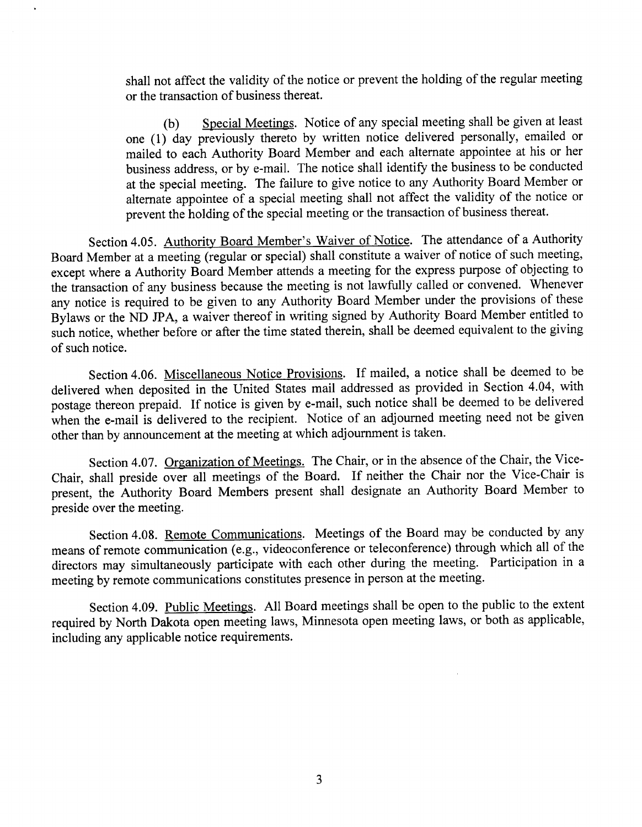shall not affect the validity of the notice or prevent the holding of the regular meeting or the transaction of business thereat.

Special Meetings. Notice of any special meeting shall be given at least (b) one (1) day previously thereto by written notice delivered personally, emailed or mailed to each Authority Board Member and each alternate appointee at his or her business address, or by e-mail. The notice shall identify the business to be conducted at the special meeting. The failure to give notice to any Authority Board Member or alternate appointee of a special meeting shall not affect the validity of the notice or prevent the holding of the special meeting or the transaction of business thereat.

Section 4.05. Authority Board Member's Waiver of Notice. The attendance of a Authority Board Member at a meeting (regular or special) shall constitute a waiver of notice of such meeting, except where a Authority Board Member attends a meeting for the express purpose of objecting to the transaction of any business because the meeting is not lawfully called or convened. Whenever any notice is required to be given to any Authority Board Member under the provisions of these Bylaws or the ND JPA, a waiver thereof in writing signed by Authority Board Member entitled to such notice, whether before or after the time stated therein, shall be deemed equivalent to the giving of such notice.

Section 4.06. Miscellaneous Notice Provisions. If mailed, a notice shall be deemed to be delivered when deposited in the United States mail addressed as provided in Section 4.04, with postage thereon prepaid. If notice is given by e-mail, such notice shall be deemed to be delivered when the e-mail is delivered to the recipient. Notice of an adjourned meeting need not be given other than by announcement at the meeting at which adjournment is taken.

Section 4.07. Organization of Meetings. The Chair, or in the absence of the Chair, the Vice-Chair, shall preside over all meetings of the Board. If neither the Chair nor the Vice-Chair is present, the Authority Board Members present shall designate an Authority Board Member to preside over the meeting.

Section 4.08. Remote Communications. Meetings of the Board may be conducted by any means of remote communication (e.g., videoconference or teleconference) through which all of the directors may simultaneously participate with each other during the meeting. Participation in a meeting by remote communications constitutes presence in person at the meeting.

Section 4.09. Public Meetings. All Board meetings shall be open to the public to the extent required by North Dakota open meeting laws, Minnesota open meeting laws, or both as applicable, including any applicable notice requirements.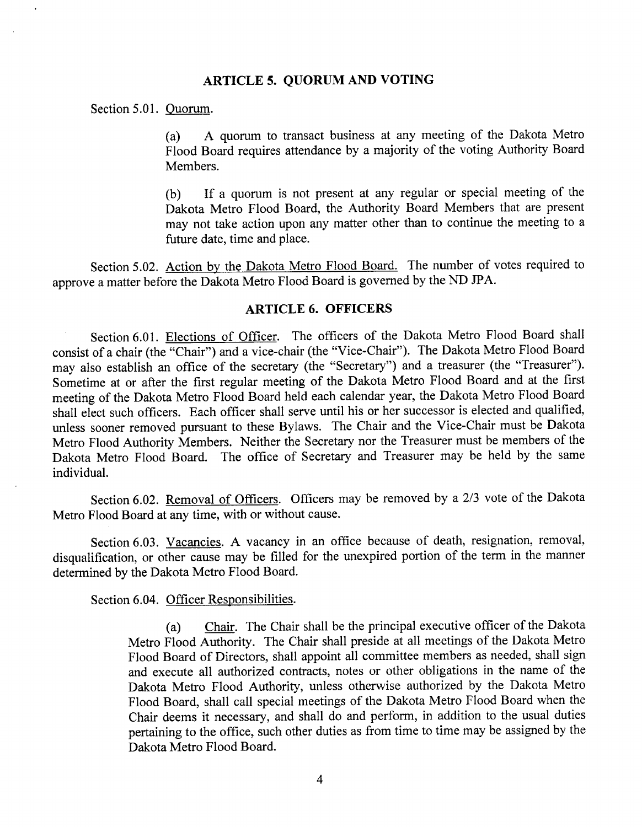## **ARTICLE 5. QUORUM AND VOTING**

Section 5.01. Quorum.

A quorum to transact business at any meeting of the Dakota Metro  $(a)$ Flood Board requires attendance by a majority of the voting Authority Board Members.

If a quorum is not present at any regular or special meeting of the (b) Dakota Metro Flood Board, the Authority Board Members that are present may not take action upon any matter other than to continue the meeting to a future date, time and place.

Section 5.02. Action by the Dakota Metro Flood Board. The number of votes required to approve a matter before the Dakota Metro Flood Board is governed by the ND JPA.

#### **ARTICLE 6. OFFICERS**

Section 6.01. Elections of Officer. The officers of the Dakota Metro Flood Board shall consist of a chair (the "Chair") and a vice-chair (the "Vice-Chair"). The Dakota Metro Flood Board may also establish an office of the secretary (the "Secretary") and a treasurer (the "Treasurer"). Sometime at or after the first regular meeting of the Dakota Metro Flood Board and at the first meeting of the Dakota Metro Flood Board held each calendar year, the Dakota Metro Flood Board shall elect such officers. Each officer shall serve until his or her successor is elected and qualified, unless sooner removed pursuant to these Bylaws. The Chair and the Vice-Chair must be Dakota Metro Flood Authority Members. Neither the Secretary nor the Treasurer must be members of the Dakota Metro Flood Board. The office of Secretary and Treasurer may be held by the same individual.

Section 6.02. Removal of Officers. Officers may be removed by a 2/3 vote of the Dakota Metro Flood Board at any time, with or without cause.

Section 6.03. Vacancies. A vacancy in an office because of death, resignation, removal, disqualification, or other cause may be filled for the unexpired portion of the term in the manner determined by the Dakota Metro Flood Board.

Section 6.04. Officer Responsibilities.

Chair. The Chair shall be the principal executive officer of the Dakota  $(a)$ Metro Flood Authority. The Chair shall preside at all meetings of the Dakota Metro Flood Board of Directors, shall appoint all committee members as needed, shall sign and execute all authorized contracts, notes or other obligations in the name of the Dakota Metro Flood Authority, unless otherwise authorized by the Dakota Metro Flood Board, shall call special meetings of the Dakota Metro Flood Board when the Chair deems it necessary, and shall do and perform, in addition to the usual duties pertaining to the office, such other duties as from time to time may be assigned by the Dakota Metro Flood Board.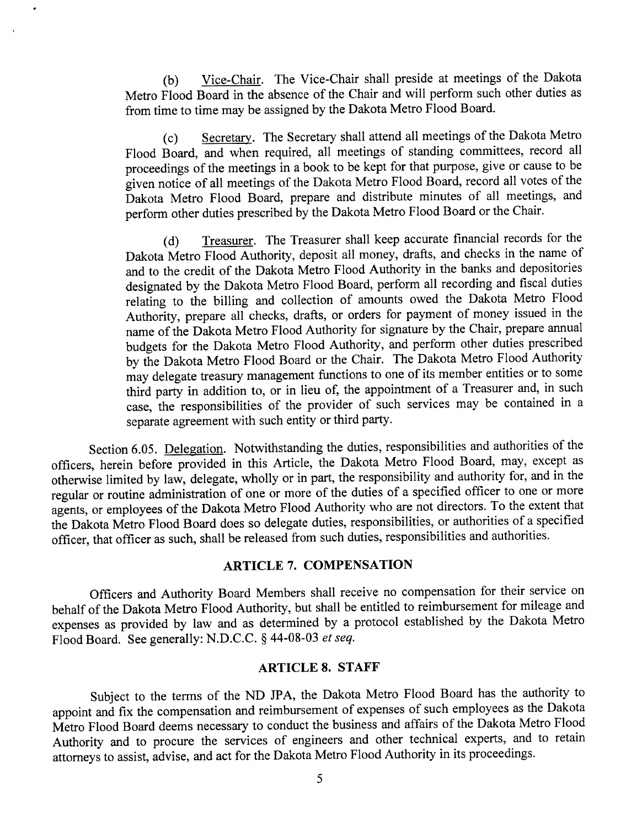Vice-Chair. The Vice-Chair shall preside at meetings of the Dakota  $(b)$ Metro Flood Board in the absence of the Chair and will perform such other duties as from time to time may be assigned by the Dakota Metro Flood Board.

Secretary. The Secretary shall attend all meetings of the Dakota Metro  $(c)$ Flood Board, and when required, all meetings of standing committees, record all proceedings of the meetings in a book to be kept for that purpose, give or cause to be given notice of all meetings of the Dakota Metro Flood Board, record all votes of the Dakota Metro Flood Board, prepare and distribute minutes of all meetings, and perform other duties prescribed by the Dakota Metro Flood Board or the Chair.

Treasurer. The Treasurer shall keep accurate financial records for the  $(d)$ Dakota Metro Flood Authority, deposit all money, drafts, and checks in the name of and to the credit of the Dakota Metro Flood Authority in the banks and depositories designated by the Dakota Metro Flood Board, perform all recording and fiscal duties relating to the billing and collection of amounts owed the Dakota Metro Flood Authority, prepare all checks, drafts, or orders for payment of money issued in the name of the Dakota Metro Flood Authority for signature by the Chair, prepare annual budgets for the Dakota Metro Flood Authority, and perform other duties prescribed by the Dakota Metro Flood Board or the Chair. The Dakota Metro Flood Authority may delegate treasury management functions to one of its member entities or to some third party in addition to, or in lieu of, the appointment of a Treasurer and, in such case, the responsibilities of the provider of such services may be contained in a separate agreement with such entity or third party.

Section 6.05. Delegation. Notwithstanding the duties, responsibilities and authorities of the officers, herein before provided in this Article, the Dakota Metro Flood Board, may, except as otherwise limited by law, delegate, wholly or in part, the responsibility and authority for, and in the regular or routine administration of one or more of the duties of a specified officer to one or more agents, or employees of the Dakota Metro Flood Authority who are not directors. To the extent that the Dakota Metro Flood Board does so delegate duties, responsibilities, or authorities of a specified officer, that officer as such, shall be released from such duties, responsibilities and authorities.

# **ARTICLE 7. COMPENSATION**

Officers and Authority Board Members shall receive no compensation for their service on behalf of the Dakota Metro Flood Authority, but shall be entitled to reimbursement for mileage and expenses as provided by law and as determined by a protocol established by the Dakota Metro Flood Board. See generally: N.D.C.C. § 44-08-03 et seq.

# **ARTICLE 8. STAFF**

Subject to the terms of the ND JPA, the Dakota Metro Flood Board has the authority to appoint and fix the compensation and reimbursement of expenses of such employees as the Dakota Metro Flood Board deems necessary to conduct the business and affairs of the Dakota Metro Flood Authority and to procure the services of engineers and other technical experts, and to retain attorneys to assist, advise, and act for the Dakota Metro Flood Authority in its proceedings.